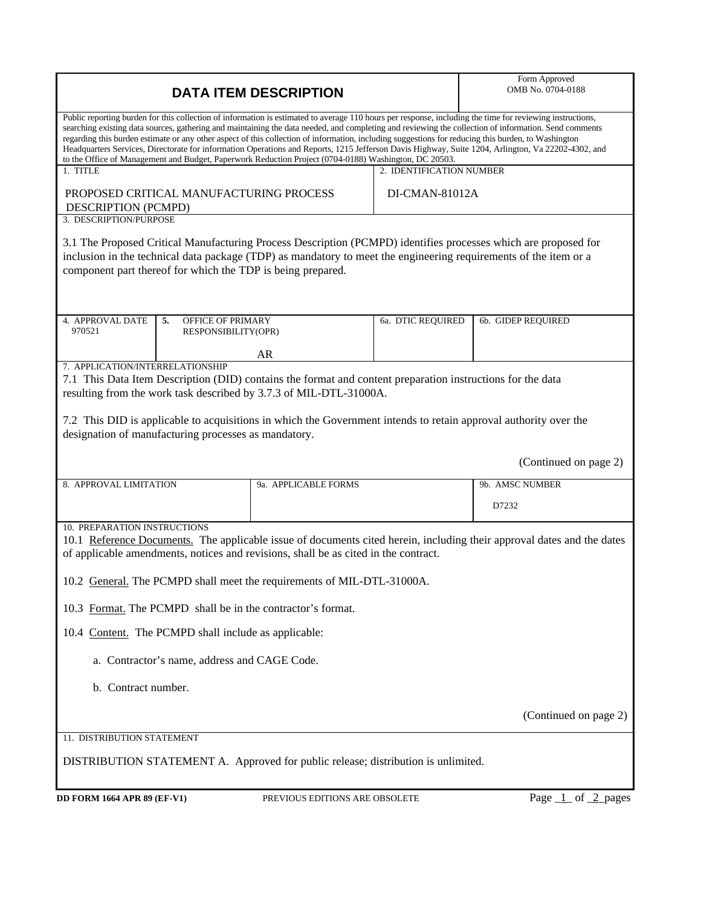| <b>DATA ITEM DESCRIPTION</b>                                                                                                                                                                                                                                                                                                                                                                                                                                                                                                                                                                                                                                                                                                             |                                |                   | Form Approved<br>OMB No. 0704-0188 |
|------------------------------------------------------------------------------------------------------------------------------------------------------------------------------------------------------------------------------------------------------------------------------------------------------------------------------------------------------------------------------------------------------------------------------------------------------------------------------------------------------------------------------------------------------------------------------------------------------------------------------------------------------------------------------------------------------------------------------------------|--------------------------------|-------------------|------------------------------------|
| Public reporting burden for this collection of information is estimated to average 110 hours per response, including the time for reviewing instructions,<br>searching existing data sources, gathering and maintaining the data needed, and completing and reviewing the collection of information. Send comments<br>regarding this burden estimate or any other aspect of this collection of information, including suggestions for reducing this burden, to Washington<br>Headquarters Services, Directorate for information Operations and Reports, 1215 Jefferson Davis Highway, Suite 1204, Arlington, Va 22202-4302, and<br>to the Office of Management and Budget, Paperwork Reduction Project (0704-0188) Washington, DC 20503. |                                |                   |                                    |
| 1. TITLE<br>2. IDENTIFICATION NUMBER                                                                                                                                                                                                                                                                                                                                                                                                                                                                                                                                                                                                                                                                                                     |                                |                   |                                    |
| PROPOSED CRITICAL MANUFACTURING PROCESS<br>DESCRIPTION (PCMPD)<br>3. DESCRIPTION/PURPOSE                                                                                                                                                                                                                                                                                                                                                                                                                                                                                                                                                                                                                                                 | DI-CMAN-81012A                 |                   |                                    |
| 3.1 The Proposed Critical Manufacturing Process Description (PCMPD) identifies processes which are proposed for<br>inclusion in the technical data package (TDP) as mandatory to meet the engineering requirements of the item or a<br>component part thereof for which the TDP is being prepared.                                                                                                                                                                                                                                                                                                                                                                                                                                       |                                |                   |                                    |
| 4. APPROVAL DATE<br>5.<br><b>OFFICE OF PRIMARY</b><br>970521<br>RESPONSIBILITY(OPR)                                                                                                                                                                                                                                                                                                                                                                                                                                                                                                                                                                                                                                                      |                                | 6a. DTIC REQUIRED | 6b. GIDEP REQUIRED                 |
|                                                                                                                                                                                                                                                                                                                                                                                                                                                                                                                                                                                                                                                                                                                                          | AR                             |                   |                                    |
| 7. APPLICATION/INTERRELATIONSHIP<br>7.1 This Data Item Description (DID) contains the format and content preparation instructions for the data<br>resulting from the work task described by 3.7.3 of MIL-DTL-31000A.<br>7.2 This DID is applicable to acquisitions in which the Government intends to retain approval authority over the<br>designation of manufacturing processes as mandatory.                                                                                                                                                                                                                                                                                                                                         |                                |                   |                                    |
|                                                                                                                                                                                                                                                                                                                                                                                                                                                                                                                                                                                                                                                                                                                                          |                                |                   | (Continued on page 2)              |
| 8. APPROVAL LIMITATION                                                                                                                                                                                                                                                                                                                                                                                                                                                                                                                                                                                                                                                                                                                   | 9a. APPLICABLE FORMS           |                   | 9b. AMSC NUMBER                    |
|                                                                                                                                                                                                                                                                                                                                                                                                                                                                                                                                                                                                                                                                                                                                          |                                |                   | D7232                              |
| 10. PREPARATION INSTRUCTIONS<br>10.1 Reference Documents. The applicable issue of documents cited herein, including their approval dates and the dates<br>of applicable amendments, notices and revisions, shall be as cited in the contract.                                                                                                                                                                                                                                                                                                                                                                                                                                                                                            |                                |                   |                                    |
| 10.2 General. The PCMPD shall meet the requirements of MIL-DTL-31000A.                                                                                                                                                                                                                                                                                                                                                                                                                                                                                                                                                                                                                                                                   |                                |                   |                                    |
| 10.3 Format. The PCMPD shall be in the contractor's format.                                                                                                                                                                                                                                                                                                                                                                                                                                                                                                                                                                                                                                                                              |                                |                   |                                    |
| 10.4 Content. The PCMPD shall include as applicable:                                                                                                                                                                                                                                                                                                                                                                                                                                                                                                                                                                                                                                                                                     |                                |                   |                                    |
| a. Contractor's name, address and CAGE Code.                                                                                                                                                                                                                                                                                                                                                                                                                                                                                                                                                                                                                                                                                             |                                |                   |                                    |
| b. Contract number.                                                                                                                                                                                                                                                                                                                                                                                                                                                                                                                                                                                                                                                                                                                      |                                |                   |                                    |
|                                                                                                                                                                                                                                                                                                                                                                                                                                                                                                                                                                                                                                                                                                                                          |                                |                   | (Continued on page 2)              |
| 11. DISTRIBUTION STATEMENT                                                                                                                                                                                                                                                                                                                                                                                                                                                                                                                                                                                                                                                                                                               |                                |                   |                                    |
| DISTRIBUTION STATEMENT A. Approved for public release; distribution is unlimited.                                                                                                                                                                                                                                                                                                                                                                                                                                                                                                                                                                                                                                                        |                                |                   |                                    |
| <b>DD FORM 1664 APR 89 (EF-V1)</b>                                                                                                                                                                                                                                                                                                                                                                                                                                                                                                                                                                                                                                                                                                       | PREVIOUS EDITIONS ARE OBSOLETE |                   | Page $1$ of $2$ pages              |